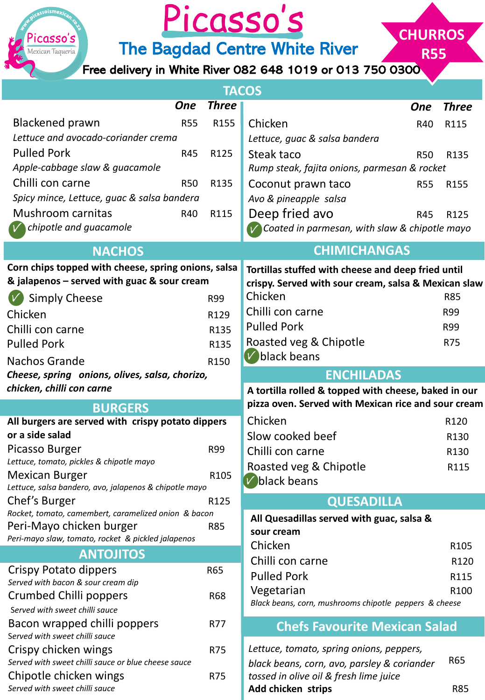

## Picasso's

The Bagdad Centre White River

Free delivery in White River 082 648 1019 or 013 750 0300

**CHURROS**

**R55**

| <b>TACOS</b>                                                                     |              |                                                                      |            |                  |  |
|----------------------------------------------------------------------------------|--------------|----------------------------------------------------------------------|------------|------------------|--|
| <b>One</b>                                                                       | <b>Three</b> |                                                                      | <b>One</b> | <b>Three</b>     |  |
| <b>Blackened prawn</b><br><b>R55</b>                                             | R155         | Chicken                                                              | R40        | R115             |  |
| Lettuce and avocado-coriander crema                                              |              | Lettuce, guac & salsa bandera                                        |            |                  |  |
| <b>Pulled Pork</b><br>R45                                                        | R125         | Steak taco                                                           | <b>R50</b> | R135             |  |
| Apple-cabbage slaw & guacamole                                                   |              | Rump steak, fajita onions, parmesan & rocket                         |            |                  |  |
| Chilli con carne<br><b>R50</b>                                                   | R135         | Coconut prawn taco                                                   | <b>R55</b> | R155             |  |
| Spicy mince, Lettuce, guac & salsa bandera                                       |              | Avo & pineapple salsa                                                |            |                  |  |
| Mushroom carnitas<br>R40                                                         | R115         | Deep fried avo                                                       | R45        | R125             |  |
| chipotle and guacamole                                                           |              | Coated in parmesan, with slaw & chipotle mayo                        |            |                  |  |
| <b>NACHOS</b>                                                                    |              | <b>CHIMICHANGAS</b>                                                  |            |                  |  |
| Corn chips topped with cheese, spring onions, salsa                              |              | Tortillas stuffed with cheese and deep fried until                   |            |                  |  |
| & jalapenos - served with guac & sour cream                                      |              | crispy. Served with sour cream, salsa & Mexican slaw                 |            |                  |  |
| <b>Simply Cheese</b>                                                             | R99          | Chicken                                                              |            | <b>R85</b>       |  |
| Chicken                                                                          | R129         | Chilli con carne                                                     |            | R99              |  |
| Chilli con carne                                                                 | R135         | <b>Pulled Pork</b>                                                   |            | R99              |  |
| <b>Pulled Pork</b>                                                               | R135         | Roasted veg & Chipotle                                               |            | <b>R75</b>       |  |
| <b>Nachos Grande</b>                                                             | R150         | $V$ black beans                                                      |            |                  |  |
| Cheese, spring onions, olives, salsa, chorizo,                                   |              | <b>ENCHILADAS</b>                                                    |            |                  |  |
| chicken, chilli con carne                                                        |              | A tortilla rolled & topped with cheese, baked in our                 |            |                  |  |
| <b>BURGERS</b>                                                                   |              | pizza oven. Served with Mexican rice and sour cream                  |            |                  |  |
| All burgers are served with crispy potato dippers                                |              | Chicken                                                              |            | R120             |  |
| or a side salad                                                                  |              | Slow cooked beef                                                     |            | R130             |  |
| Picasso Burger<br>Lettuce, tomato, pickles & chipotle mayo                       | R99          | Chilli con carne                                                     |            | R130             |  |
| <b>Mexican Burger</b>                                                            | R105         | Roasted veg & Chipotle                                               |            | R115             |  |
| Lettuce, salsa bandero, avo, jalapenos & chipotle mayo                           |              | V black beans                                                        |            |                  |  |
| Chef's Burger                                                                    | R125         | <b>QUESADILLA</b>                                                    |            |                  |  |
| Rocket, tomato, camembert, caramelized onion & bacon<br>Peri-Mayo chicken burger | <b>R85</b>   | All Quesadillas served with guac, salsa &                            |            |                  |  |
| Peri-mayo slaw, tomato, rocket & pickled jalapenos                               |              | sour cream                                                           |            |                  |  |
| <b>ANTOJITOS</b>                                                                 |              | Chicken                                                              |            | R <sub>105</sub> |  |
| Crispy Potato dippers                                                            | R65          | Chilli con carne                                                     |            | R120             |  |
| Served with bacon & sour cream dip                                               |              | <b>Pulled Pork</b>                                                   |            | R115             |  |
| Crumbed Chilli poppers                                                           | <b>R68</b>   | Vegetarian<br>Black beans, corn, mushrooms chipotle peppers & cheese |            | R100             |  |
| Served with sweet chilli sauce                                                   |              |                                                                      |            |                  |  |
| Bacon wrapped chilli poppers<br>Served with sweet chilli sauce                   | R77          | <b>Chefs Favourite Mexican Salad</b>                                 |            |                  |  |
| Crispy chicken wings                                                             | R75          | Lettuce, tomato, spring onions, peppers,                             |            |                  |  |
| Served with sweet chilli sauce or blue cheese sauce                              |              | black beans, corn, avo, parsley & coriander                          |            | R65              |  |
| Chipotle chicken wings<br>Served with sweet chilli sauce                         | R75          | tossed in olive oil & fresh lime juice<br>Add chicken strips         |            | <b>R85</b>       |  |
|                                                                                  |              |                                                                      |            |                  |  |

٠